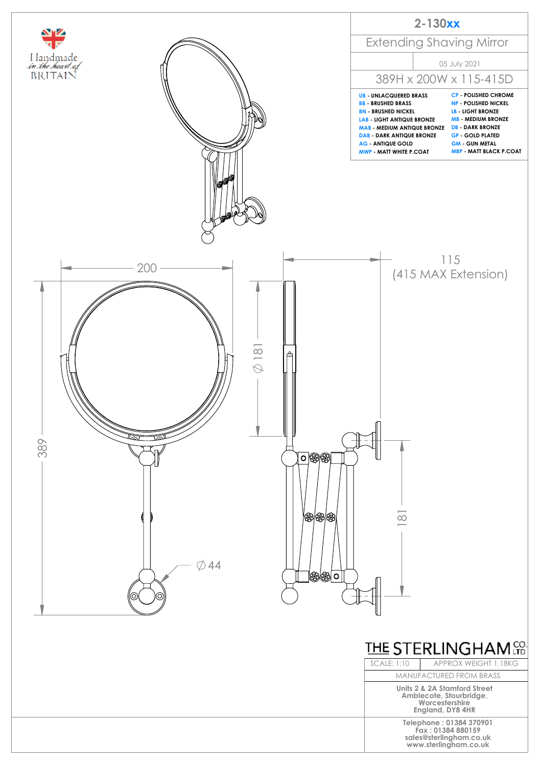